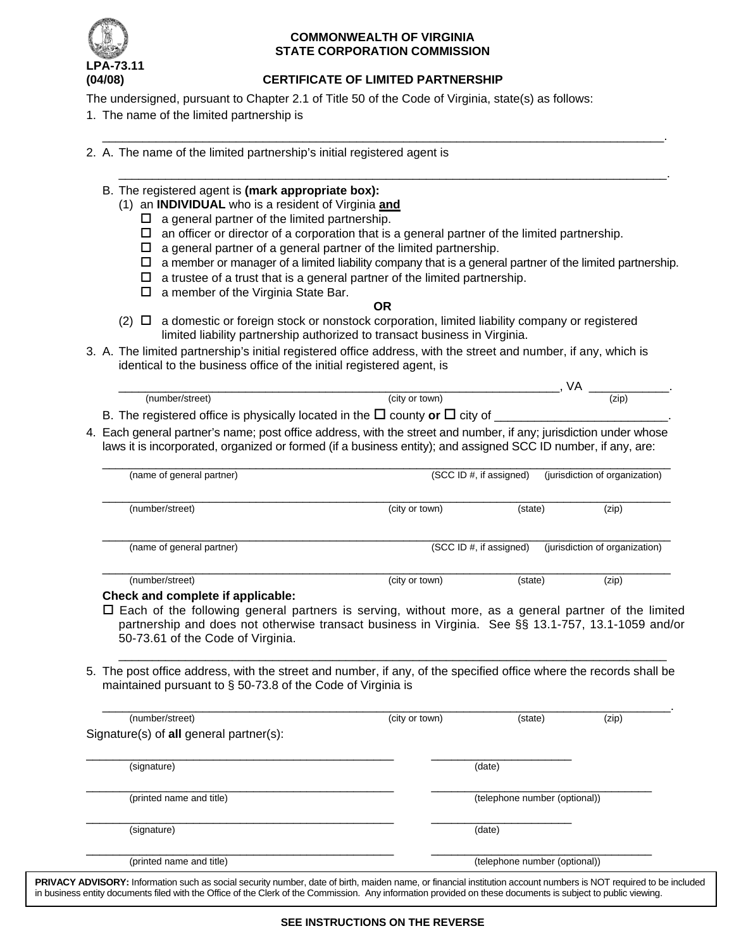

### **COMMONWEALTH OF VIRGINIA STATE CORPORATION COMMISSION**

# **(04/08) CERTIFICATE OF LIMITED PARTNERSHIP**

\_\_\_\_\_\_\_\_\_\_\_\_\_\_\_\_\_\_\_\_\_\_\_\_\_\_\_\_\_\_\_\_\_\_\_\_\_\_\_\_\_\_\_\_\_\_\_\_\_\_\_\_\_\_\_\_\_\_\_\_\_\_\_\_\_\_\_\_\_\_\_\_\_\_\_\_\_\_\_\_\_\_\_\_.

\_\_\_\_\_\_\_\_\_\_\_\_\_\_\_\_\_\_\_\_\_\_\_\_\_\_\_\_\_\_\_\_\_\_\_\_\_\_\_\_\_\_\_\_\_\_\_\_\_\_\_\_\_\_\_\_\_\_\_\_\_\_\_\_\_\_\_\_\_\_\_\_\_\_\_\_\_\_\_\_\_\_.

The undersigned, pursuant to Chapter 2.1 of Title 50 of the Code of Virginia, state(s) as follows:

- 1. The name of the limited partnership is
- 2. A. The name of the limited partnership's initial registered agent is
	- B. The registered agent is **(mark appropriate box):**
		- (1) an **INDIVIDUAL** who is a resident of Virginia **and**
			- $\Box$  a general partner of the limited partnership.
			- $\Box$  an officer or director of a corporation that is a general partner of the limited partnership.
			- $\Box$  a general partner of a general partner of the limited partnership.
			- $\Box$  a member or manager of a limited liability company that is a general partner of the limited partnership.
			- $\Box$  a trustee of a trust that is a general partner of the limited partnership.
			- $\Box$  a member of the Virginia State Bar.
- **OR**
- $(2)$   $\Box$  a domestic or foreign stock or nonstock corporation, limited liability company or registered limited liability partnership authorized to transact business in Virginia.
- 3. A. The limited partnership's initial registered office address, with the street and number, if any, which is identical to the business office of the initial registered agent, is

| ורי | City<br>town<br>nı | (ZID) |
|-----|--------------------|-------|

B. The registered office is physically located in the  $\Box$  county or  $\Box$  city of  $\Box$ 

4. Each general partner's name; post office address, with the street and number, if any; jurisdiction under whose laws it is incorporated, organized or formed (if a business entity); and assigned SCC ID number, if any, are:

| (name of general partner) | (SCC ID #, if assigned)<br>(jurisdiction of organization) |         |                                |  |
|---------------------------|-----------------------------------------------------------|---------|--------------------------------|--|
| (number/street)           | (city or town)                                            | (state) | (zip)                          |  |
| (name of general partner) | (SCC ID #, if assigned)                                   |         | (jurisdiction of organization) |  |
| (number/street)           | (city or town)                                            | (state) | (zip)                          |  |

### **Check and complete if applicable:**

 $\Box$  Each of the following general partners is serving, without more, as a general partner of the limited partnership and does not otherwise transact business in Virginia. See §§ 13.1-757, 13.1-1059 and/or 50-73.61 of the Code of Virginia.

\_\_\_\_\_\_\_\_\_\_\_\_\_\_\_\_\_\_\_\_\_\_\_\_\_\_\_\_\_\_\_\_\_\_\_\_\_\_\_\_\_\_\_\_\_\_\_\_\_\_\_\_\_\_\_\_\_\_\_\_\_\_\_\_\_\_\_\_\_\_\_\_\_\_\_\_\_\_\_\_\_\_

5. The post office address, with the street and number, if any, of the specified office where the records shall be maintained pursuant to § 50-73.8 of the Code of Virginia is

| (number/street)                         | (city or town) | (state)                       | (zip) |
|-----------------------------------------|----------------|-------------------------------|-------|
| Signature(s) of all general partner(s): |                |                               |       |
| (signature)                             |                | (date)                        |       |
| (printed name and title)                |                | (telephone number (optional)) |       |
| (signature)                             |                | (date)                        |       |
| (printed name and title)                |                | (telephone number (optional)) |       |

PRIVACY ADVISORY: Information such as social security number, date of birth, maiden name, or financial institution account numbers is NOT required to be included in business entity documents filed with the Office of the Clerk of the Commission. Any information provided on these documents is subject to public viewing.

#### **SEE INSTRUCTIONS ON THE REVERSE**